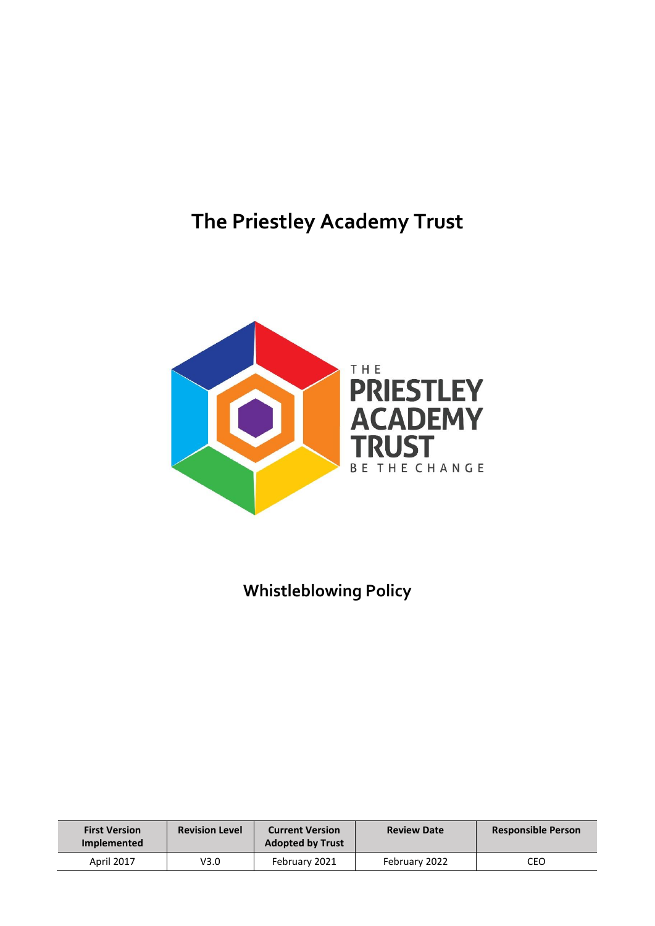# **The Priestley Academy Trust**



# **Whistleblowing Policy**

| <b>First Version</b><br><b>Implemented</b> | <b>Revision Level</b> | <b>Current Version</b><br><b>Adopted by Trust</b> | <b>Review Date</b> | <b>Responsible Person</b> |
|--------------------------------------------|-----------------------|---------------------------------------------------|--------------------|---------------------------|
| <b>April 2017</b>                          | V3.0                  | February 2021                                     | February 2022      | CEO                       |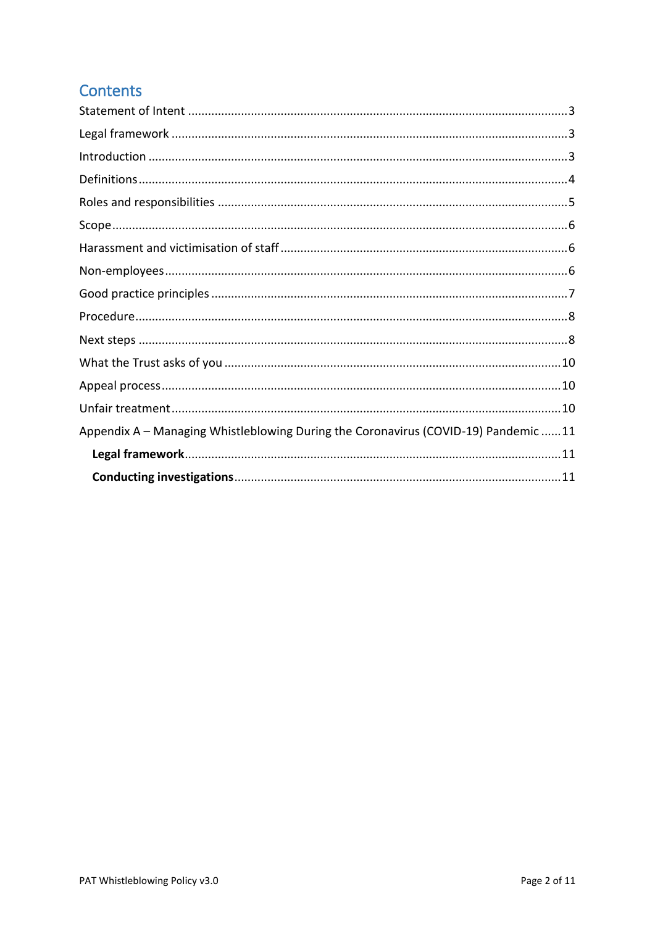# **Contents**

| Appendix A - Managing Whistleblowing During the Coronavirus (COVID-19) Pandemic 11 |
|------------------------------------------------------------------------------------|
|                                                                                    |
|                                                                                    |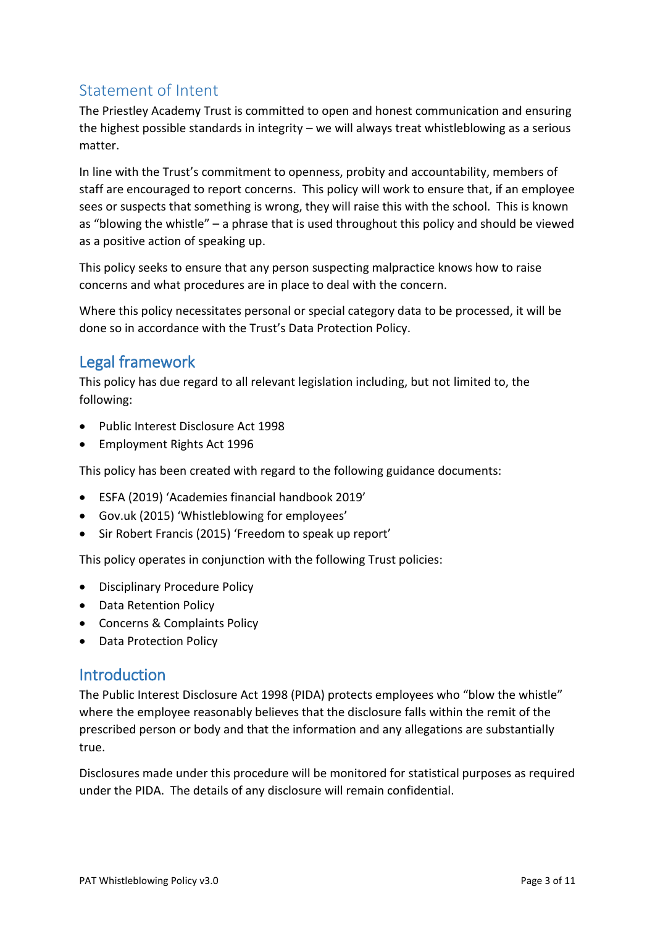# <span id="page-2-0"></span>Statement of Intent

The Priestley Academy Trust is committed to open and honest communication and ensuring the highest possible standards in integrity – we will always treat whistleblowing as a serious matter.

In line with the Trust's commitment to openness, probity and accountability, members of staff are encouraged to report concerns. This policy will work to ensure that, if an employee sees or suspects that something is wrong, they will raise this with the school. This is known as "blowing the whistle" – a phrase that is used throughout this policy and should be viewed as a positive action of speaking up.

This policy seeks to ensure that any person suspecting malpractice knows how to raise concerns and what procedures are in place to deal with the concern.

Where this policy necessitates personal or special category data to be processed, it will be done so in accordance with the Trust's Data Protection Policy.

#### <span id="page-2-1"></span>Legal framework

This policy has due regard to all relevant legislation including, but not limited to, the following:

- Public Interest Disclosure Act 1998
- Employment Rights Act 1996

This policy has been created with regard to the following guidance documents:

- ESFA (2019) 'Academies financial handbook 2019'
- Gov.uk (2015) 'Whistleblowing for employees'
- Sir Robert Francis (2015) 'Freedom to speak up report'

This policy operates in conjunction with the following Trust policies:

- Disciplinary Procedure Policy
- Data Retention Policy
- Concerns & Complaints Policy
- Data Protection Policy

#### <span id="page-2-2"></span>**Introduction**

The Public Interest Disclosure Act 1998 (PIDA) protects employees who "blow the whistle" where the employee reasonably believes that the disclosure falls within the remit of the prescribed person or body and that the information and any allegations are substantially true.

Disclosures made under this procedure will be monitored for statistical purposes as required under the PIDA. The details of any disclosure will remain confidential.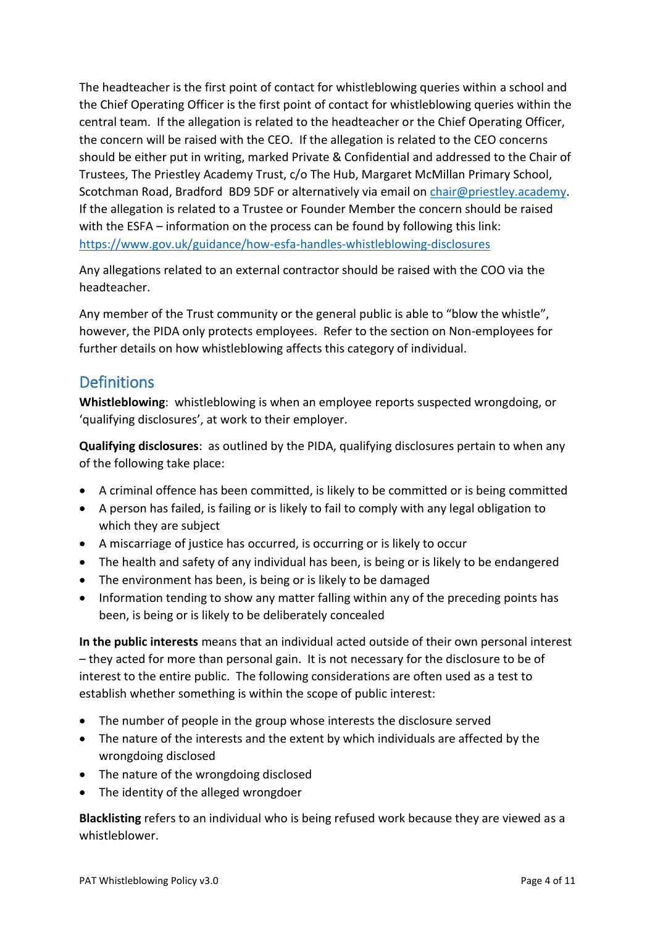The headteacher is the first point of contact for whistleblowing queries within a school and the Chief Operating Officer is the first point of contact for whistleblowing queries within the central team. If the allegation is related to the headteacher or the Chief Operating Officer, the concern will be raised with the CEO. If the allegation is related to the CEO concerns should be either put in writing, marked Private & Confidential and addressed to the Chair of Trustees, The Priestley Academy Trust, c/o The Hub, Margaret McMillan Primary School, Scotchman Road, Bradford BD9 5DF or alternatively via email on [chair@priestley.academy.](mailto:chair@priestley.academy) If the allegation is related to a Trustee or Founder Member the concern should be raised with the ESFA – information on the process can be found by following this link: <https://www.gov.uk/guidance/how-esfa-handles-whistleblowing-disclosures>

Any allegations related to an external contractor should be raised with the COO via the headteacher.

Any member of the Trust community or the general public is able to "blow the whistle", however, the PIDA only protects employees. Refer to the section on Non-employees for further details on how whistleblowing affects this category of individual.

#### <span id="page-3-0"></span>**Definitions**

**Whistleblowing**: whistleblowing is when an employee reports suspected wrongdoing, or 'qualifying disclosures', at work to their employer.

**Qualifying disclosures**: as outlined by the PIDA, qualifying disclosures pertain to when any of the following take place:

- A criminal offence has been committed, is likely to be committed or is being committed
- A person has failed, is failing or is likely to fail to comply with any legal obligation to which they are subject
- A miscarriage of justice has occurred, is occurring or is likely to occur
- The health and safety of any individual has been, is being or is likely to be endangered
- The environment has been, is being or is likely to be damaged
- Information tending to show any matter falling within any of the preceding points has been, is being or is likely to be deliberately concealed

**In the public interests** means that an individual acted outside of their own personal interest – they acted for more than personal gain. It is not necessary for the disclosure to be of interest to the entire public. The following considerations are often used as a test to establish whether something is within the scope of public interest:

- The number of people in the group whose interests the disclosure served
- The nature of the interests and the extent by which individuals are affected by the wrongdoing disclosed
- The nature of the wrongdoing disclosed
- The identity of the alleged wrongdoer

**Blacklisting** refers to an individual who is being refused work because they are viewed as a whistleblower.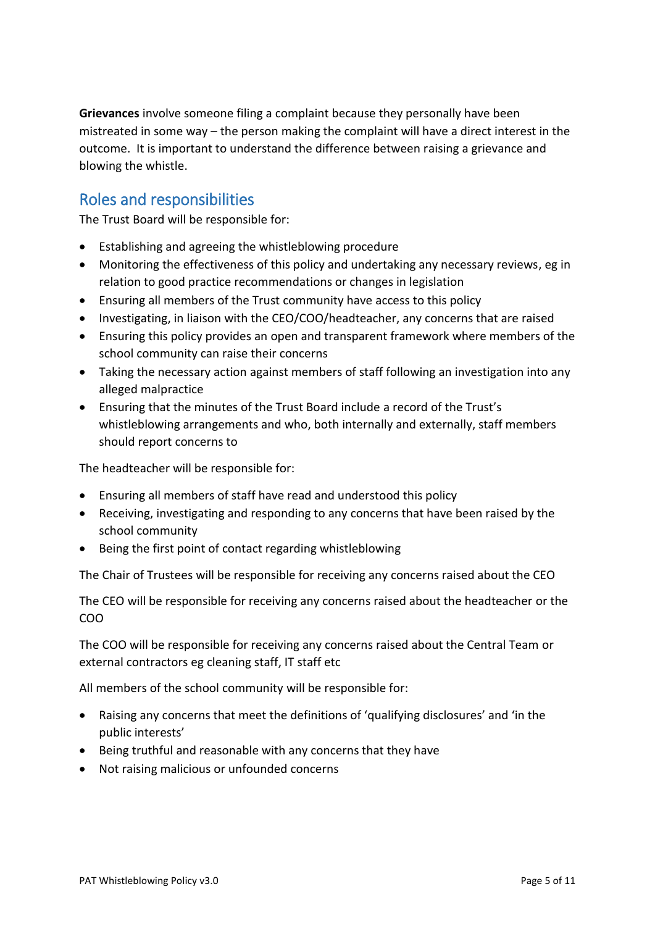**Grievances** involve someone filing a complaint because they personally have been mistreated in some way – the person making the complaint will have a direct interest in the outcome. It is important to understand the difference between raising a grievance and blowing the whistle.

# <span id="page-4-0"></span>Roles and responsibilities

The Trust Board will be responsible for:

- Establishing and agreeing the whistleblowing procedure
- Monitoring the effectiveness of this policy and undertaking any necessary reviews, eg in relation to good practice recommendations or changes in legislation
- Ensuring all members of the Trust community have access to this policy
- Investigating, in liaison with the CEO/COO/headteacher, any concerns that are raised
- Ensuring this policy provides an open and transparent framework where members of the school community can raise their concerns
- Taking the necessary action against members of staff following an investigation into any alleged malpractice
- Ensuring that the minutes of the Trust Board include a record of the Trust's whistleblowing arrangements and who, both internally and externally, staff members should report concerns to

The headteacher will be responsible for:

- Ensuring all members of staff have read and understood this policy
- Receiving, investigating and responding to any concerns that have been raised by the school community
- Being the first point of contact regarding whistleblowing

The Chair of Trustees will be responsible for receiving any concerns raised about the CEO

The CEO will be responsible for receiving any concerns raised about the headteacher or the COO

The COO will be responsible for receiving any concerns raised about the Central Team or external contractors eg cleaning staff, IT staff etc

All members of the school community will be responsible for:

- Raising any concerns that meet the definitions of 'qualifying disclosures' and 'in the public interests'
- Being truthful and reasonable with any concerns that they have
- Not raising malicious or unfounded concerns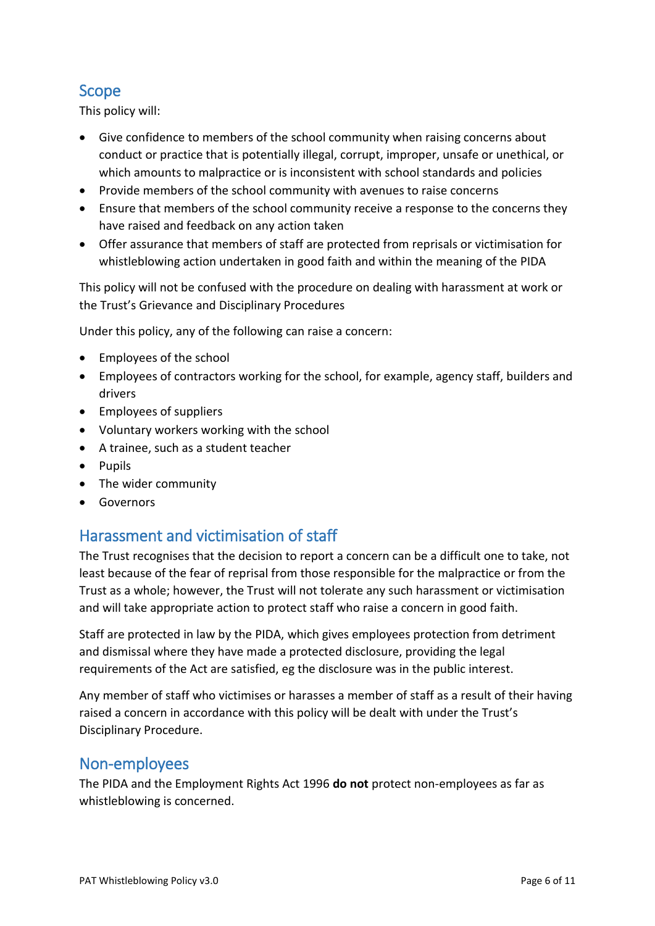### <span id="page-5-0"></span>Scope

This policy will:

- Give confidence to members of the school community when raising concerns about conduct or practice that is potentially illegal, corrupt, improper, unsafe or unethical, or which amounts to malpractice or is inconsistent with school standards and policies
- Provide members of the school community with avenues to raise concerns
- Ensure that members of the school community receive a response to the concerns they have raised and feedback on any action taken
- Offer assurance that members of staff are protected from reprisals or victimisation for whistleblowing action undertaken in good faith and within the meaning of the PIDA

This policy will not be confused with the procedure on dealing with harassment at work or the Trust's Grievance and Disciplinary Procedures

Under this policy, any of the following can raise a concern:

- Employees of the school
- Employees of contractors working for the school, for example, agency staff, builders and drivers
- Employees of suppliers
- Voluntary workers working with the school
- A trainee, such as a student teacher
- Pupils
- The wider community
- Governors

#### <span id="page-5-1"></span>Harassment and victimisation of staff

The Trust recognises that the decision to report a concern can be a difficult one to take, not least because of the fear of reprisal from those responsible for the malpractice or from the Trust as a whole; however, the Trust will not tolerate any such harassment or victimisation and will take appropriate action to protect staff who raise a concern in good faith.

Staff are protected in law by the PIDA, which gives employees protection from detriment and dismissal where they have made a protected disclosure, providing the legal requirements of the Act are satisfied, eg the disclosure was in the public interest.

Any member of staff who victimises or harasses a member of staff as a result of their having raised a concern in accordance with this policy will be dealt with under the Trust's Disciplinary Procedure.

#### <span id="page-5-2"></span>Non-employees

The PIDA and the Employment Rights Act 1996 **do not** protect non-employees as far as whistleblowing is concerned.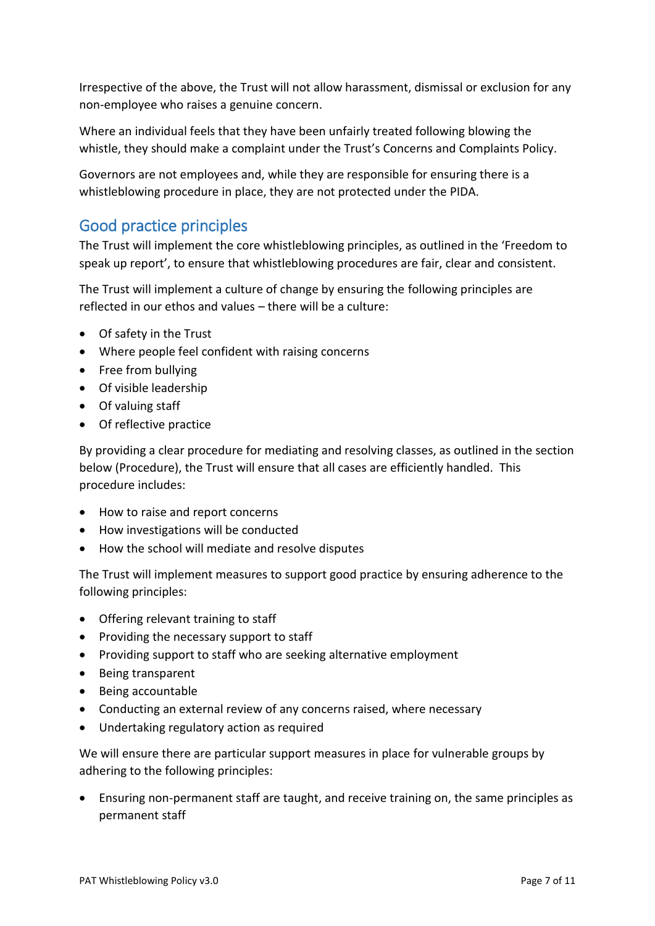Irrespective of the above, the Trust will not allow harassment, dismissal or exclusion for any non-employee who raises a genuine concern.

Where an individual feels that they have been unfairly treated following blowing the whistle, they should make a complaint under the Trust's Concerns and Complaints Policy.

Governors are not employees and, while they are responsible for ensuring there is a whistleblowing procedure in place, they are not protected under the PIDA.

### <span id="page-6-0"></span>Good practice principles

The Trust will implement the core whistleblowing principles, as outlined in the 'Freedom to speak up report', to ensure that whistleblowing procedures are fair, clear and consistent.

The Trust will implement a culture of change by ensuring the following principles are reflected in our ethos and values – there will be a culture:

- Of safety in the Trust
- Where people feel confident with raising concerns
- Free from bullying
- Of visible leadership
- Of valuing staff
- Of reflective practice

By providing a clear procedure for mediating and resolving classes, as outlined in the section below (Procedure), the Trust will ensure that all cases are efficiently handled. This procedure includes:

- How to raise and report concerns
- How investigations will be conducted
- How the school will mediate and resolve disputes

The Trust will implement measures to support good practice by ensuring adherence to the following principles:

- Offering relevant training to staff
- Providing the necessary support to staff
- Providing support to staff who are seeking alternative employment
- Being transparent
- Being accountable
- Conducting an external review of any concerns raised, where necessary
- Undertaking regulatory action as required

We will ensure there are particular support measures in place for vulnerable groups by adhering to the following principles:

• Ensuring non-permanent staff are taught, and receive training on, the same principles as permanent staff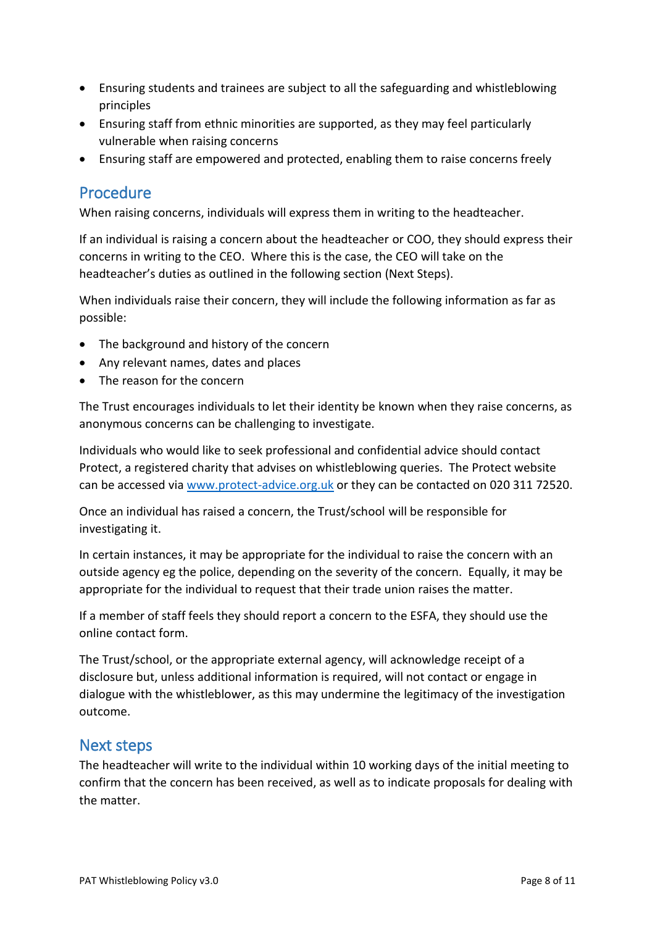- Ensuring students and trainees are subject to all the safeguarding and whistleblowing principles
- Ensuring staff from ethnic minorities are supported, as they may feel particularly vulnerable when raising concerns
- Ensuring staff are empowered and protected, enabling them to raise concerns freely

#### <span id="page-7-0"></span>Procedure

When raising concerns, individuals will express them in writing to the headteacher.

If an individual is raising a concern about the headteacher or COO, they should express their concerns in writing to the CEO. Where this is the case, the CEO will take on the headteacher's duties as outlined in the following section (Next Steps).

When individuals raise their concern, they will include the following information as far as possible:

- The background and history of the concern
- Any relevant names, dates and places
- The reason for the concern

The Trust encourages individuals to let their identity be known when they raise concerns, as anonymous concerns can be challenging to investigate.

Individuals who would like to seek professional and confidential advice should contact Protect, a registered charity that advises on whistleblowing queries. The Protect website can be accessed vi[a www.protect-advice.org.uk](http://www.protect-advice.org.uk/) or they can be contacted on 020 311 72520.

Once an individual has raised a concern, the Trust/school will be responsible for investigating it.

In certain instances, it may be appropriate for the individual to raise the concern with an outside agency eg the police, depending on the severity of the concern. Equally, it may be appropriate for the individual to request that their trade union raises the matter.

If a member of staff feels they should report a concern to the ESFA, they should use the online contact form.

The Trust/school, or the appropriate external agency, will acknowledge receipt of a disclosure but, unless additional information is required, will not contact or engage in dialogue with the whistleblower, as this may undermine the legitimacy of the investigation outcome.

#### <span id="page-7-1"></span>Next steps

The headteacher will write to the individual within 10 working days of the initial meeting to confirm that the concern has been received, as well as to indicate proposals for dealing with the matter.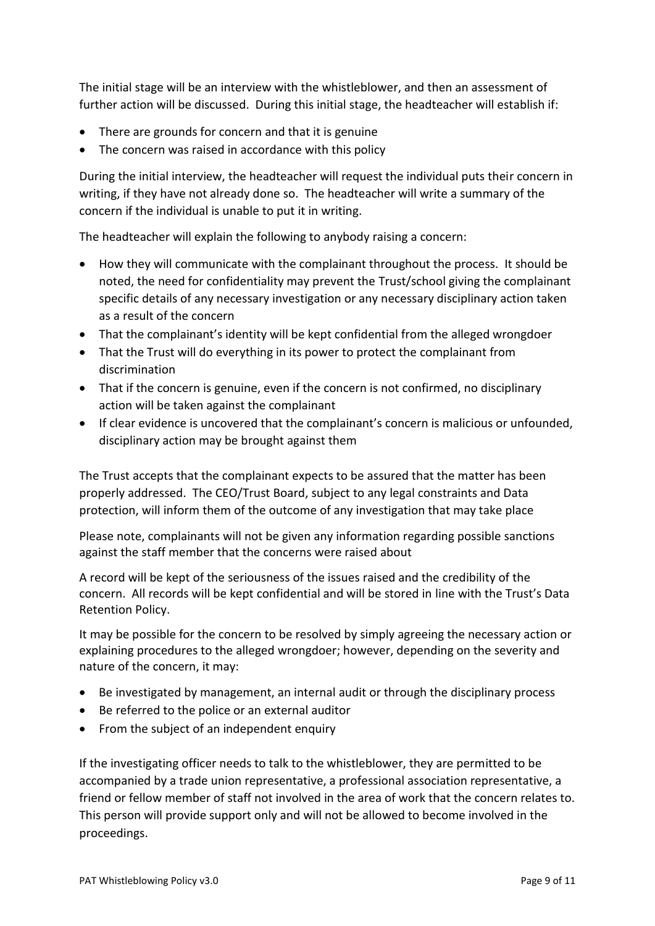The initial stage will be an interview with the whistleblower, and then an assessment of further action will be discussed. During this initial stage, the headteacher will establish if:

- There are grounds for concern and that it is genuine
- The concern was raised in accordance with this policy

During the initial interview, the headteacher will request the individual puts their concern in writing, if they have not already done so. The headteacher will write a summary of the concern if the individual is unable to put it in writing.

The headteacher will explain the following to anybody raising a concern:

- How they will communicate with the complainant throughout the process. It should be noted, the need for confidentiality may prevent the Trust/school giving the complainant specific details of any necessary investigation or any necessary disciplinary action taken as a result of the concern
- That the complainant's identity will be kept confidential from the alleged wrongdoer
- That the Trust will do everything in its power to protect the complainant from discrimination
- That if the concern is genuine, even if the concern is not confirmed, no disciplinary action will be taken against the complainant
- If clear evidence is uncovered that the complainant's concern is malicious or unfounded, disciplinary action may be brought against them

The Trust accepts that the complainant expects to be assured that the matter has been properly addressed. The CEO/Trust Board, subject to any legal constraints and Data protection, will inform them of the outcome of any investigation that may take place

Please note, complainants will not be given any information regarding possible sanctions against the staff member that the concerns were raised about

A record will be kept of the seriousness of the issues raised and the credibility of the concern. All records will be kept confidential and will be stored in line with the Trust's Data Retention Policy.

It may be possible for the concern to be resolved by simply agreeing the necessary action or explaining procedures to the alleged wrongdoer; however, depending on the severity and nature of the concern, it may:

- Be investigated by management, an internal audit or through the disciplinary process
- Be referred to the police or an external auditor
- From the subject of an independent enquiry

If the investigating officer needs to talk to the whistleblower, they are permitted to be accompanied by a trade union representative, a professional association representative, a friend or fellow member of staff not involved in the area of work that the concern relates to. This person will provide support only and will not be allowed to become involved in the proceedings.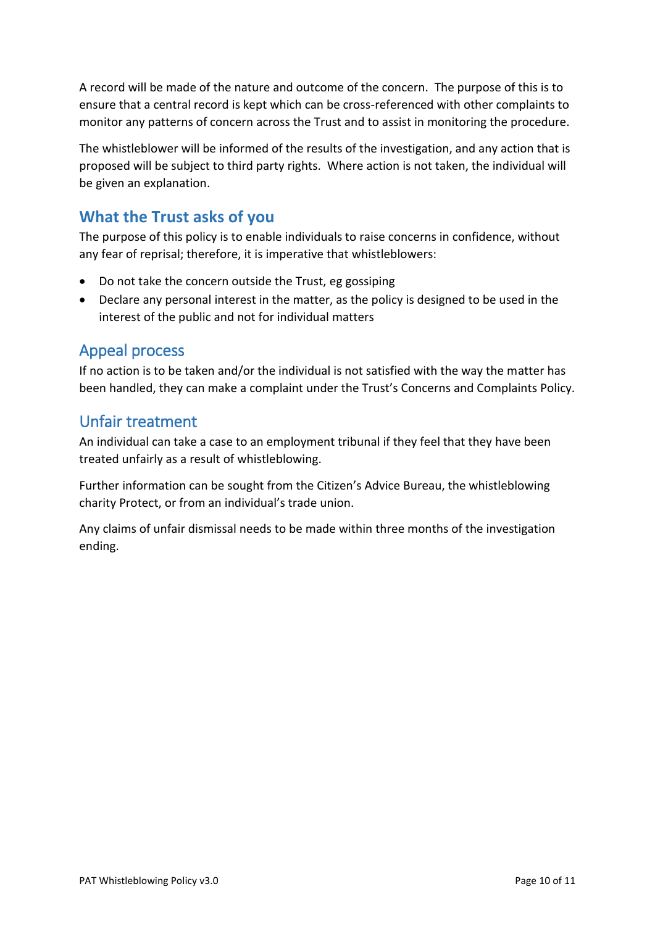A record will be made of the nature and outcome of the concern. The purpose of this is to ensure that a central record is kept which can be cross-referenced with other complaints to monitor any patterns of concern across the Trust and to assist in monitoring the procedure.

The whistleblower will be informed of the results of the investigation, and any action that is proposed will be subject to third party rights. Where action is not taken, the individual will be given an explanation.

# <span id="page-9-0"></span>**What the Trust asks of you**

The purpose of this policy is to enable individuals to raise concerns in confidence, without any fear of reprisal; therefore, it is imperative that whistleblowers:

- Do not take the concern outside the Trust, eg gossiping
- Declare any personal interest in the matter, as the policy is designed to be used in the interest of the public and not for individual matters

#### <span id="page-9-1"></span>Appeal process

If no action is to be taken and/or the individual is not satisfied with the way the matter has been handled, they can make a complaint under the Trust's Concerns and Complaints Policy.

#### <span id="page-9-2"></span>Unfair treatment

An individual can take a case to an employment tribunal if they feel that they have been treated unfairly as a result of whistleblowing.

Further information can be sought from the Citizen's Advice Bureau, the whistleblowing charity Protect, or from an individual's trade union.

Any claims of unfair dismissal needs to be made within three months of the investigation ending.